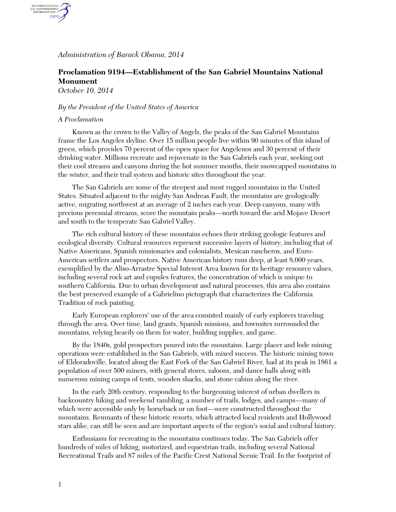*Administration of Barack Obama, 2014*

## **Proclamation 9194—Establishment of the San Gabriel Mountains National Monument**

*October 10, 2014*

AUTHENTICATED<br>U.S. GOVERNMENT<br>INFORMATION GPO.

## *By the President of the United States of America*

## *A Proclamation*

Known as the crown to the Valley of Angels, the peaks of the San Gabriel Mountains frame the Los Angeles skyline. Over 15 million people live within 90 minutes of this island of green, which provides 70 percent of the open space for Angelenos and 30 percent of their drinking water. Millions recreate and rejuvenate in the San Gabriels each year, seeking out their cool streams and canyons during the hot summer months, their snowcapped mountains in the winter, and their trail system and historic sites throughout the year.

The San Gabriels are some of the steepest and most rugged mountains in the United States. Situated adjacent to the mighty San Andreas Fault, the mountains are geologically active, migrating northwest at an average of 2 inches each year. Deep canyons, many with precious perennial streams, score the mountain peaks—north toward the arid Mojave Desert and south to the temperate San Gabriel Valley.

The rich cultural history of these mountains echoes their striking geologic features and ecological diversity. Cultural resources represent successive layers of history, including that of Native Americans, Spanish missionaries and colonialists, Mexican rancheros, and Euro-American settlers and prospectors. Native American history runs deep, at least 8,000 years, exemplified by the Aliso-Arrastre Special Interest Area known for its heritage resource values, including several rock art and cupules features, the concentration of which is unique to southern California. Due to urban development and natural processes, this area also contains the best preserved example of a Gabrielino pictograph that characterizes the California Tradition of rock painting.

Early European explorers' use of the area consisted mainly of early explorers traveling through the area. Over time, land grants, Spanish missions, and townsites surrounded the mountains, relying heavily on them for water, building supplies, and game.

By the 1840s, gold prospectors poured into the mountains. Large placer and lode mining operations were established in the San Gabriels, with mixed success. The historic mining town of Eldoradoville, located along the East Fork of the San Gabriel River, had at its peak in 1861 a population of over 500 miners, with general stores, saloons, and dance halls along with numerous mining camps of tents, wooden shacks, and stone cabins along the river.

In the early 20th century, responding to the burgeoning interest of urban dwellers in backcountry hiking and weekend rambling, a number of trails, lodges, and camps—many of which were accessible only by horseback or on foot—were constructed throughout the mountains. Remnants of these historic resorts, which attracted local residents and Hollywood stars alike, can still be seen and are important aspects of the region's social and cultural history.

Enthusiasm for recreating in the mountains continues today. The San Gabriels offer hundreds of miles of hiking, motorized, and equestrian trails, including several National Recreational Trails and 87 miles of the Pacific Crest National Scenic Trail. In the footprint of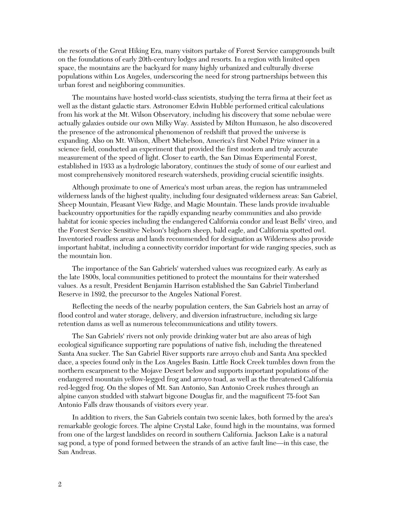the resorts of the Great Hiking Era, many visitors partake of Forest Service campgrounds built on the foundations of early 20th-century lodges and resorts. In a region with limited open space, the mountains are the backyard for many highly urbanized and culturally diverse populations within Los Angeles, underscoring the need for strong partnerships between this urban forest and neighboring communities.

The mountains have hosted world-class scientists, studying the terra firma at their feet as well as the distant galactic stars. Astronomer Edwin Hubble performed critical calculations from his work at the Mt. Wilson Observatory, including his discovery that some nebulae were actually galaxies outside our own Milky Way. Assisted by Milton Humason, he also discovered the presence of the astronomical phenomenon of redshift that proved the universe is expanding. Also on Mt. Wilson, Albert Michelson, America's first Nobel Prize winner in a science field, conducted an experiment that provided the first modern and truly accurate measurement of the speed of light. Closer to earth, the San Dimas Experimental Forest, established in 1933 as a hydrologic laboratory, continues the study of some of our earliest and most comprehensively monitored research watersheds, providing crucial scientific insights.

Although proximate to one of America's most urban areas, the region has untrammeled wilderness lands of the highest quality, including four designated wilderness areas: San Gabriel, Sheep Mountain, Pleasant View Ridge, and Magic Mountain. These lands provide invaluable backcountry opportunities for the rapidly expanding nearby communities and also provide habitat for iconic species including the endangered California condor and least Bells' vireo, and the Forest Service Sensitive Nelson's bighorn sheep, bald eagle, and California spotted owl. Inventoried roadless areas and lands recommended for designation as Wilderness also provide important habitat, including a connectivity corridor important for wide ranging species, such as the mountain lion.

The importance of the San Gabriels' watershed values was recognized early. As early as the late 1800s, local communities petitioned to protect the mountains for their watershed values. As a result, President Benjamin Harrison established the San Gabriel Timberland Reserve in 1892, the precursor to the Angeles National Forest.

Reflecting the needs of the nearby population centers, the San Gabriels host an array of flood control and water storage, delivery, and diversion infrastructure, including six large retention dams as well as numerous telecommunications and utility towers.

The San Gabriels' rivers not only provide drinking water but are also areas of high ecological significance supporting rare populations of native fish, including the threatened Santa Ana sucker. The San Gabriel River supports rare arroyo chub and Santa Ana speckled dace, a species found only in the Los Angeles Basin. Little Rock Creek tumbles down from the northern escarpment to the Mojave Desert below and supports important populations of the endangered mountain yellow-legged frog and arroyo toad, as well as the threatened California red-legged frog. On the slopes of Mt. San Antonio, San Antonio Creek rushes through an alpine canyon studded with stalwart bigcone Douglas fir, and the magnificent 75-foot San Antonio Falls draw thousands of visitors every year.

In addition to rivers, the San Gabriels contain two scenic lakes, both formed by the area's remarkable geologic forces. The alpine Crystal Lake, found high in the mountains, was formed from one of the largest landslides on record in southern California. Jackson Lake is a natural sag pond, a type of pond formed between the strands of an active fault line—in this case, the San Andreas.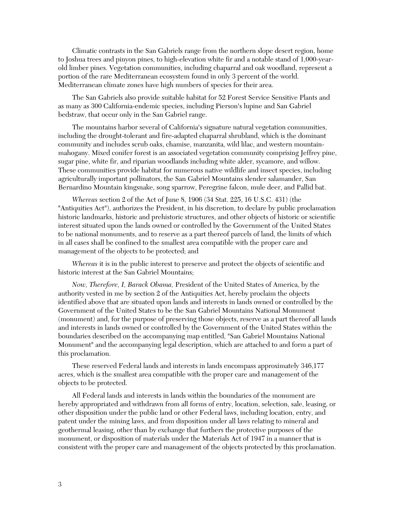Climatic contrasts in the San Gabriels range from the northern slope desert region, home to Joshua trees and pinyon pines, to high-elevation white fir and a notable stand of 1,000-yearold limber pines. Vegetation communities, including chaparral and oak woodland, represent a portion of the rare Mediterranean ecosystem found in only 3 percent of the world. Mediterranean climate zones have high numbers of species for their area.

The San Gabriels also provide suitable habitat for 52 Forest Service Sensitive Plants and as many as 300 California-endemic species, including Pierson's lupine and San Gabriel bedstraw, that occur only in the San Gabriel range.

The mountains harbor several of California's signature natural vegetation communities, including the drought-tolerant and fire-adapted chaparral shrubland, which is the dominant community and includes scrub oaks, chamise, manzanita, wild lilac, and western mountainmahogany. Mixed conifer forest is an associated vegetation community comprising Jeffrey pine, sugar pine, white fir, and riparian woodlands including white alder, sycamore, and willow. These communities provide habitat for numerous native wildlife and insect species, including agriculturally important pollinators, the San Gabriel Mountains slender salamander, San Bernardino Mountain kingsnake, song sparrow, Peregrine falcon, mule deer, and Pallid bat.

*Whereas* section 2 of the Act of June 8, 1906 (34 Stat. 225, 16 U.S.C. 431) (the "Antiquities Act"), authorizes the President, in his discretion, to declare by public proclamation historic landmarks, historic and prehistoric structures, and other objects of historic or scientific interest situated upon the lands owned or controlled by the Government of the United States to be national monuments, and to reserve as a part thereof parcels of land, the limits of which in all cases shall be confined to the smallest area compatible with the proper care and management of the objects to be protected; and

*Whereas* it is in the public interest to preserve and protect the objects of scientific and historic interest at the San Gabriel Mountains;

*Now, Therefore, I, Barack Obama,* President of the United States of America, by the authority vested in me by section 2 of the Antiquities Act, hereby proclaim the objects identified above that are situated upon lands and interests in lands owned or controlled by the Government of the United States to be the San Gabriel Mountains National Monument (monument) and, for the purpose of preserving those objects, reserve as a part thereof all lands and interests in lands owned or controlled by the Government of the United States within the boundaries described on the accompanying map entitled, "San Gabriel Mountains National Monument" and the accompanying legal description, which are attached to and form a part of this proclamation.

These reserved Federal lands and interests in lands encompass approximately 346,177 acres, which is the smallest area compatible with the proper care and management of the objects to be protected.

All Federal lands and interests in lands within the boundaries of the monument are hereby appropriated and withdrawn from all forms of entry, location, selection, sale, leasing, or other disposition under the public land or other Federal laws, including location, entry, and patent under the mining laws, and from disposition under all laws relating to mineral and geothermal leasing, other than by exchange that furthers the protective purposes of the monument, or disposition of materials under the Materials Act of 1947 in a manner that is consistent with the proper care and management of the objects protected by this proclamation.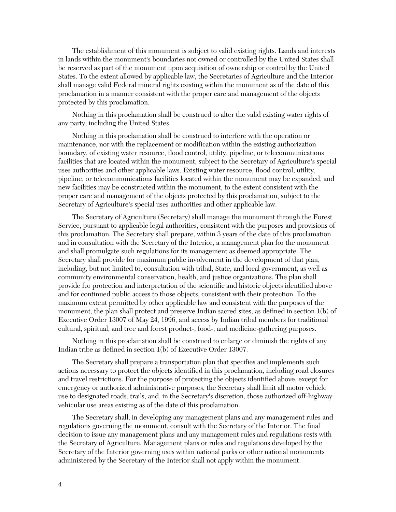The establishment of this monument is subject to valid existing rights. Lands and interests in lands within the monument's boundaries not owned or controlled by the United States shall be reserved as part of the monument upon acquisition of ownership or control by the United States. To the extent allowed by applicable law, the Secretaries of Agriculture and the Interior shall manage valid Federal mineral rights existing within the monument as of the date of this proclamation in a manner consistent with the proper care and management of the objects protected by this proclamation.

Nothing in this proclamation shall be construed to alter the valid existing water rights of any party, including the United States.

Nothing in this proclamation shall be construed to interfere with the operation or maintenance, nor with the replacement or modification within the existing authorization boundary, of existing water resource, flood control, utility, pipeline, or telecommunications facilities that are located within the monument, subject to the Secretary of Agriculture's special uses authorities and other applicable laws. Existing water resource, flood control, utility, pipeline, or telecommunications facilities located within the monument may be expanded, and new facilities may be constructed within the monument, to the extent consistent with the proper care and management of the objects protected by this proclamation, subject to the Secretary of Agriculture's special uses authorities and other applicable law.

The Secretary of Agriculture (Secretary) shall manage the monument through the Forest Service, pursuant to applicable legal authorities, consistent with the purposes and provisions of this proclamation. The Secretary shall prepare, within 3 years of the date of this proclamation and in consultation with the Secretary of the Interior, a management plan for the monument and shall promulgate such regulations for its management as deemed appropriate. The Secretary shall provide for maximum public involvement in the development of that plan, including, but not limited to, consultation with tribal, State, and local government, as well as community environmental conservation, health, and justice organizations. The plan shall provide for protection and interpretation of the scientific and historic objects identified above and for continued public access to those objects, consistent with their protection. To the maximum extent permitted by other applicable law and consistent with the purposes of the monument, the plan shall protect and preserve Indian sacred sites, as defined in section 1(b) of Executive Order 13007 of May 24, 1996, and access by Indian tribal members for traditional cultural, spiritual, and tree and forest product-, food-, and medicine-gathering purposes.

Nothing in this proclamation shall be construed to enlarge or diminish the rights of any Indian tribe as defined in section 1(b) of Executive Order 13007.

The Secretary shall prepare a transportation plan that specifies and implements such actions necessary to protect the objects identified in this proclamation, including road closures and travel restrictions. For the purpose of protecting the objects identified above, except for emergency or authorized administrative purposes, the Secretary shall limit all motor vehicle use to designated roads, trails, and, in the Secretary's discretion, those authorized off-highway vehicular use areas existing as of the date of this proclamation.

The Secretary shall, in developing any management plans and any management rules and regulations governing the monument, consult with the Secretary of the Interior. The final decision to issue any management plans and any management rules and regulations rests with the Secretary of Agriculture. Management plans or rules and regulations developed by the Secretary of the Interior governing uses within national parks or other national monuments administered by the Secretary of the Interior shall not apply within the monument.